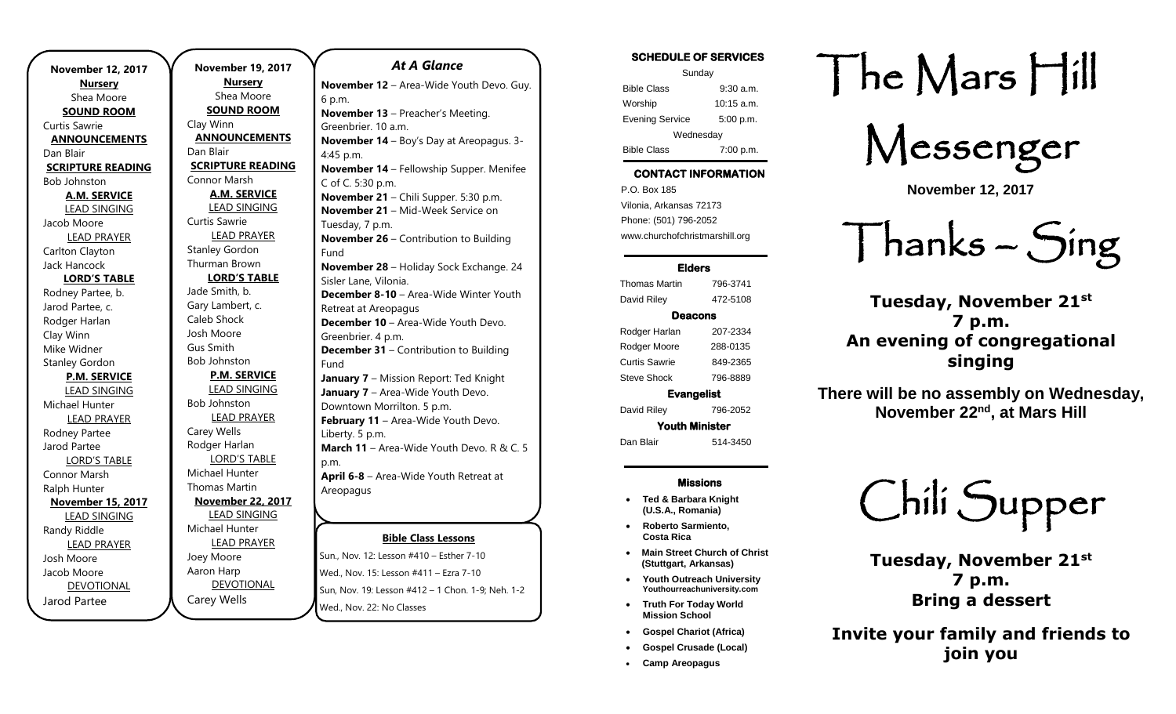**November 12, 2017 Nursery** Shea Moore **SOUND ROOM** Curtis Sawrie **ANNOUNCEMENTS** Dan Blair **SCRIPTURE READING** Bob Johnston **A.M. SERVICE** LEAD SINGING Jacob Moore LEAD PRAYER Carlton Clayton Jack Hancock **LORD'S TABLE** Rodney Partee, b. Jarod Partee, c. Rodger Harlan Clay Winn Mike Widner Stanley Gordon **P.M. SERVICE** LEAD SINGING Michael Hunter LEAD PRAYER Rodney Partee Jarod Partee LORD'S TABLE Connor Marsh Ralph Hunter **November 15, 2017** LEAD SINGING Randy Riddle LEAD PRAYER Josh Moore Jacob Moore DEVOTIONAL Jarod Partee

.

**November 19, 2017 Nursery** Shea Moore **SOUND ROOM** Clay Winn **ANNOUNCEMENTS** Dan Blair **SCRIPTURE READING** Connor Marsh **A.M. SERVICE** LEAD SINGING Curtis Sawrie LEAD PRAYER Stanley Gordon Thurman Brown **LORD'S TABLE** Jade Smith, b. Gary Lambert, c. Caleb Shock Josh Moore Gus Smith Bob Johnston **P.M. SERVICE** LEAD SINGING Bob Johnston LEAD PRAYER Carey Wells Rodger Harlan LORD'S TABLE Michael Hunter Thomas Martin **November 22, 2017** LEAD SINGING Michael Hunter LEAD PRAYER Joey Moore Aaron Harp DEVOTIONAL

Carey Wells

## **Bible Class Lessons** Sun., Nov. 12: Lesson #410 – Esther 7-10 *At A Glance*  **November 12** – Area-Wide Youth Devo. Guy. 6 p.m. **November 13** – Preacher's Meeting. Greenbrier. 10 a.m. **November 14** – Boy's Day at Areopagus. 3- 4:45 p.m. **November 14** – Fellowship Supper. Menifee C of C. 5:30 p.m. **November 21** – Chili Supper. 5:30 p.m. **November 21 – Mid-Week Service on** Tuesday, 7 p.m. **November 26** – Contribution to Building Fund **November 28** – Holiday Sock Exchange. 24 Sisler Lane, Vilonia. **December 8-10** – Area-Wide Winter Youth Retreat at Areopagus **December 10** – Area-Wide Youth Devo. Greenbrier. 4 p.m. **December 31 – Contribution to Building** Fund **January 7** – Mission Report: Ted Knight **January 7** – Area-Wide Youth Devo. Downtown Morrilton. 5 p.m. **February 11** – Area-Wide Youth Devo. Liberty. 5 p.m. **March 11** – Area-Wide Youth Devo. R & C. 5 p.m. **April 6-8** – Area-Wide Youth Retreat at Areopagus

Wed., Nov. 15: Lesson #411 – Ezra 7-10 Sun, Nov. 19: Lesson #412 - 1 Chon. 1-9; Neh. 1-2 wed., Nov. 22: No Classes

### SCHEDULE OF SERVICES Sunday Bible Class 9:30 a.m. Worship 10:15 a.m. Evening Service 5:00 p.m. **Wednesdav** Bible Class 7:00 p.m.

# CONTACT INFORMATION

. .o. Box 166<br>Vilonia, Arkansas 72173 P.O. Box 185 Phone: (501) 796-2052 www.churchofchristmarshill.org

## Elders

Thomas Martin 796-3741 David Riley 472-5108 Deacons Rodger Harlan 207-2334 Rodger Moore 288-0135 Curtis Sawrie 849-2365 Steve Shock 796-8889 Evangelist

David Riley 796-2052

Youth Minister Dan Blair 514-3450

#### Missions

- **Ted & Barbara Knight (U.S.A., Romania)**
- **Roberto Sarmiento, Costa Rica**
- **Main Street Church of Christ (Stuttgart, Arkansas)**
- **Youth Outreach University Youthourreachuniversity.com**
- **Truth For Today World Mission School**
- **Gospel Chariot (Africa)** • **Gospel Crusade (Local)**
- **Camp Areopagus**

# The Mars Hill

Messenger

**November 12, 2017**

Thanks – Sing

**Tuesday, November 21st 7 p.m. An evening of congregational singing**

**There will be no assembly on Wednesday, November 22nd, at Mars Hill**



**Tuesday, November 21st 7 p.m. Bring a dessert**

**Invite your family and friends to join you**